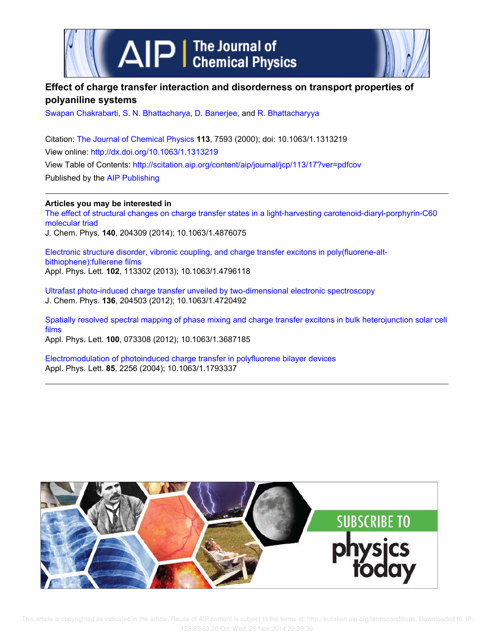



# **Effect of charge transfer interaction and disorderness on transport properties of polyaniline systems**

Swapan Chakrabarti, S. N. Bhattacharya, D. Banerjee, and R. Bhattacharyya

Citation: The Journal of Chemical Physics **113**, 7593 (2000); doi: 10.1063/1.1313219 View online: http://dx.doi.org/10.1063/1.1313219 View Table of Contents: http://scitation.aip.org/content/aip/journal/jcp/113/17?ver=pdfcov Published by the AIP Publishing

**Articles you may be interested in**

The effect of structural changes on charge transfer states in a light-harvesting carotenoid-diaryl-porphyrin-C60 molecular triad

J. Chem. Phys. **140**, 204309 (2014); 10.1063/1.4876075

Electronic structure disorder, vibronic coupling, and charge transfer excitons in poly(fluorene-altbithiophene):fullerene films Appl. Phys. Lett. **102**, 113302 (2013); 10.1063/1.4796118

Ultrafast photo-induced charge transfer unveiled by two-dimensional electronic spectroscopy J. Chem. Phys. **136**, 204503 (2012); 10.1063/1.4720492

Spatially resolved spectral mapping of phase mixing and charge transfer excitons in bulk heterojunction solar cell films

Appl. Phys. Lett. **100**, 073308 (2012); 10.1063/1.3687185

Electromodulation of photoinduced charge transfer in polyfluorene bilayer devices Appl. Phys. Lett. **85**, 2256 (2004); 10.1063/1.1793337

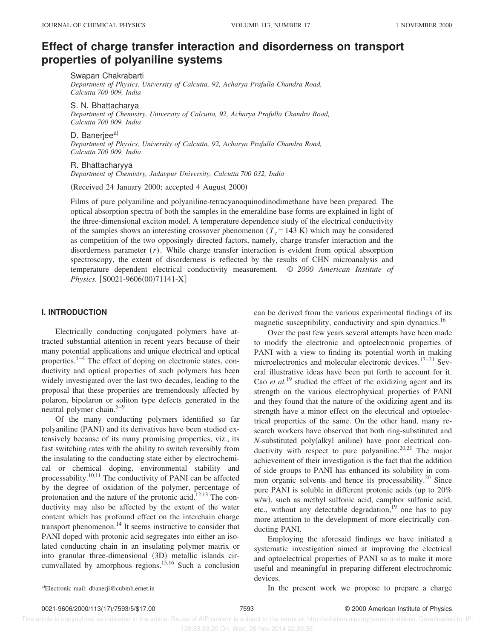# **Effect of charge transfer interaction and disorderness on transport properties of polyaniline systems**

Swapan Chakrabarti

*Department of Physics, University of Calcutta, 92, Acharya Prafulla Chandra Road, Calcutta 700 009, India*

S. N. Bhattacharya *Department of Chemistry, University of Calcutta, 92, Acharya Prafulla Chandra Road, Calcutta 700 009, India*

D. Banerjee<sup>a)</sup>

*Department of Physics, University of Calcutta, 92, Acharya Prafulla Chandra Road, Calcutta 700 009, India*

#### R. Bhattacharyya

*Department of Chemistry, Jadavpur University, Calcutta 700 032, India*

(Received 24 January 2000; accepted 4 August 2000)

Films of pure polyaniline and polyaniline-tetracyanoquinodinodimethane have been prepared. The optical absorption spectra of both the samples in the emeraldine base forms are explained in light of the three-dimensional exciton model. A temperature dependence study of the electrical conductivity of the samples shows an interesting crossover phenomenon ( $T_c$ =143 K) which may be considered as competition of the two opposingly directed factors, namely, charge transfer interaction and the disorderness parameter (*r*). While charge transfer interaction is evident from optical absorption spectroscopy, the extent of disorderness is reflected by the results of CHN microanalysis and temperature dependent electrical conductivity measurement. © *2000 American Institute of Physics.* [S0021-9606(00)71141-X]

# **I. INTRODUCTION**

Electrically conducting conjugated polymers have attracted substantial attention in recent years because of their many potential applications and unique electrical and optical properties. $1-4$  The effect of doping on electronic states, conductivity and optical properties of such polymers has been widely investigated over the last two decades, leading to the proposal that these properties are tremendously affected by polaron, bipolaron or soliton type defects generated in the neutral polymer chain. $5-9$ 

Of the many conducting polymers identified so far polyaniline (PANI) and its derivatives have been studied extensively because of its many promising properties, viz., its fast switching rates with the ability to switch reversibly from the insulating to the conducting state either by electrochemical or chemical doping, environmental stability and processability.10,11 The conductivity of PANI can be affected by the degree of oxidation of the polymer, percentage of protonation and the nature of the protonic acid.<sup>12,13</sup> The conductivity may also be affected by the extent of the water content which has profound effect on the interchain charge transport phenomenon.<sup>14</sup> It seems instructive to consider that PANI doped with protonic acid segregates into either an isolated conducting chain in an insulating polymer matrix or into granular three-dimensional  $(3D)$  metallic islands circumvallated by amorphous regions.<sup>15,16</sup> Such a conclusion

can be derived from the various experimental findings of its magnetic susceptibility, conductivity and spin dynamics.<sup>16</sup>

Over the past few years several attempts have been made to modify the electronic and optoelectronic properties of PANI with a view to finding its potential worth in making microelectronics and molecular electronic devices.<sup>17–21</sup> Several illustrative ideas have been put forth to account for it. Cao *et al.*<sup>19</sup> studied the effect of the oxidizing agent and its strength on the various electrophysical properties of PANI and they found that the nature of the oxidizing agent and its strength have a minor effect on the electrical and optoelectrical properties of the same. On the other hand, many research workers have observed that both ring-substituted and *N*-substituted poly(alkyl aniline) have poor electrical conductivity with respect to pure polyaniline.<sup>20,21</sup> The major achievement of their investigation is the fact that the addition of side groups to PANI has enhanced its solubility in common organic solvents and hence its processability.<sup>20</sup> Since pure PANI is soluble in different protonic acids (up to  $20\%$ ) w/w), such as methyl sulfonic acid, camphor sulfonic acid, etc., without any detectable degradation,<sup>19</sup> one has to pay more attention to the development of more electrically conducting PANI.

Employing the aforesaid findings we have initiated a systematic investigation aimed at improving the electrical and optoelectrical properties of PANI so as to make it more useful and meaningful in preparing different electrochromic devices.

a)Electronic mail: dbanerji@cubmb.ernet.in **a Electronic mail:** dbanerji@cubmb.ernet.in **a Electronic mail:** dbanerji@cubmb.ernet.in

 This article is copyrighted as indicated in the article. Reuse of AIP content is subject to the terms at: http://scitation.aip.org/termsconditions. Downloaded to IP: 128.83.63.20 On: Wed, 26 Nov 2014 22:39:36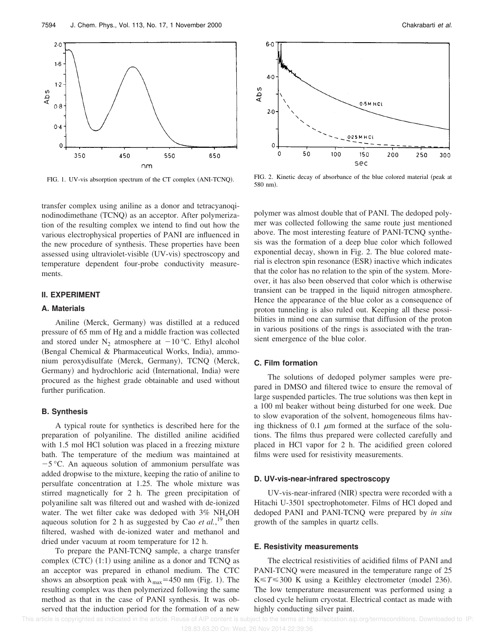

FIG. 1. UV-vis absorption spectrum of the CT complex (ANI-TCNQ).

transfer complex using aniline as a donor and tetracyanoqinodinodimethane (TCNQ) as an acceptor. After polymerization of the resulting complex we intend to find out how the various electrophysical properties of PANI are influenced in the new procedure of synthesis. These properties have been assessed using ultraviolet-visible (UV-vis) spectroscopy and temperature dependent four-probe conductivity measurements.

### **II. EXPERIMENT**

#### **A. Materials**

Aniline (Merck, Germany) was distilled at a reduced pressure of 65 mm of Hg and a middle fraction was collected and stored under  $N_2$  atmosphere at  $-10$  °C. Ethyl alcohol (Bengal Chemical & Pharmaceutical Works, India), ammonium peroxydisulfate (Merck, Germany), TCNQ (Merck, Germany) and hydrochloric acid (International, India) were procured as the highest grade obtainable and used without further purification.

# **B. Synthesis**

A typical route for synthetics is described here for the preparation of polyaniline. The distilled aniline acidified with 1.5 mol HCl solution was placed in a freezing mixture bath. The temperature of the medium was maintained at  $-5$  °C. An aqueous solution of ammonium persulfate was added dropwise to the mixture, keeping the ratio of aniline to persulfate concentration at 1.25. The whole mixture was stirred magnetically for 2 h. The green precipitation of polyaniline salt was filtered out and washed with de-ionized water. The wet filter cake was dedoped with 3% NH<sub>4</sub>OH aqueous solution for 2 h as suggested by Cao *et al.*, <sup>19</sup> then filtered, washed with de-ionized water and methanol and dried under vacuum at room temperature for 12 h.

To prepare the PANI-TCNQ sample, a charge transfer complex  $(CTC)$   $(1:1)$  using aniline as a donor and TCNQ as an acceptor was prepared in ethanol medium. The CTC shows an absorption peak with  $\lambda_{\text{max}}$ =450 nm (Fig. 1). The resulting complex was then polymerized following the same method as that in the case of PANI synthesis. It was observed that the induction period for the formation of a new



FIG. 2. Kinetic decay of absorbance of the blue colored material (peak at 580 nm!.

polymer was almost double that of PANI. The dedoped polymer was collected following the same route just mentioned above. The most interesting feature of PANI-TCNQ synthesis was the formation of a deep blue color which followed exponential decay, shown in Fig. 2. The blue colored material is electron spin resonance (ESR) inactive which indicates that the color has no relation to the spin of the system. Moreover, it has also been observed that color which is otherwise transient can be trapped in the liquid nitrogen atmosphere. Hence the appearance of the blue color as a consequence of proton tunneling is also ruled out. Keeping all these possibilities in mind one can surmise that diffusion of the proton in various positions of the rings is associated with the transient emergence of the blue color.

# **C. Film formation**

The solutions of dedoped polymer samples were prepared in DMSO and filtered twice to ensure the removal of large suspended particles. The true solutions was then kept in a 100 ml beaker without being disturbed for one week. Due to slow evaporation of the solvent, homogeneous films having thickness of 0.1  $\mu$ m formed at the surface of the solutions. The films thus prepared were collected carefully and placed in HCl vapor for 2 h. The acidified green colored films were used for resistivity measurements.

### **D. UV-vis-near-infrared spectroscopy**

UV-vis-near-infrared (NIR) spectra were recorded with a Hitachi U-3501 spectrophotometer. Films of HCl doped and dedoped PANI and PANI-TCNQ were prepared by *in situ* growth of the samples in quartz cells.

#### **E. Resistivity measurements**

The electrical resistivities of acidified films of PANI and PANI-TCNQ were measured in the temperature range of 25  $K \le T \le 300$  K using a Keithley electrometer (model 236). The low temperature measurement was performed using a closed cycle helium cryostat. Electrical contact as made with highly conducting silver paint.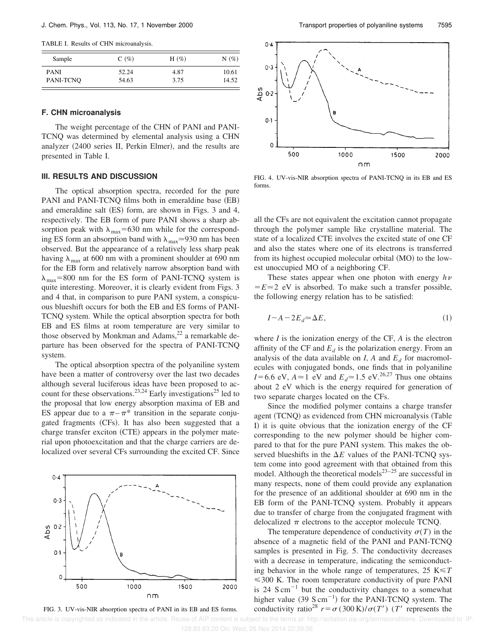TABLE I. Results of CHN microanalysis.

| Sample      | $C(\%)$ | H $(\%)$ | $N(\%)$ |
|-------------|---------|----------|---------|
| <b>PANI</b> | 52.24   | 4.87     | 10.61   |
| PANI-TCNO   | 54.63   | 3.75     | 14.52   |

## **F. CHN microanalysis**

The weight percentage of the CHN of PANI and PANI-TCNQ was determined by elemental analysis using a CHN analyzer  $(2400 \text{ series II}, \text{Perkin Elmer})$ , and the results are presented in Table I.

### **III. RESULTS AND DISCUSSION**

The optical absorption spectra, recorded for the pure PANI and PANI-TCNQ films both in emeraldine base (EB) and emeraldine salt  $(ES)$  form, are shown in Figs. 3 and 4, respectively. The EB form of pure PANI shows a sharp absorption peak with  $\lambda_{\text{max}}$ =630 nm while for the corresponding ES form an absorption band with  $\lambda_{\text{max}} \approx 930$  nm has been observed. But the appearance of a relatively less sharp peak having  $\lambda_{\text{max}}$  at 600 nm with a prominent shoulder at 690 nm for the EB form and relatively narrow absorption band with  $\lambda_{\text{max}}$ =800 nm for the ES form of PANI-TCNQ system is quite interesting. Moreover, it is clearly evident from Figs. 3 and 4 that, in comparison to pure PANI system, a conspicuous blueshift occurs for both the EB and ES forms of PANI-TCNQ system. While the optical absorption spectra for both EB and ES films at room temperature are very similar to those observed by Monkman and Adams,<sup>22</sup> a remarkable departure has been observed for the spectra of PANI-TCNQ system.

The optical absorption spectra of the polyaniline system have been a matter of controversy over the last two decades although several luciferous ideas have been proposed to account for these observations.<sup>23,24</sup> Early investigations<sup>25</sup> led to the proposal that low energy absorption maxima of EB and ES appear due to a  $\pi - \pi^*$  transition in the separate conjugated fragments (CFs). It has also been suggested that a charge transfer exciton (CTE) appears in the polymer material upon photoexcitation and that the charge carriers are delocalized over several CFs surrounding the excited CF. Since







FIG. 4. UV-vis-NIR absorption spectra of PANI-TCNQ in its EB and ES forms.

all the CFs are not equivalent the excitation cannot propagate through the polymer sample like crystalline material. The state of a localized CTE involves the excited state of one CF and also the states where one of its electrons is transferred from its highest occupied molecular orbital (MO) to the lowest unoccupied MO of a neighboring CF.

These states appear when one photon with energy  $h\nu$  $E \approx 2$  eV is absorbed. To make such a transfer possible, the following energy relation has to be satisfied:

$$
I - A - 2E_d \simeq \Delta E,\tag{1}
$$

where *I* is the ionization energy of the CF, *A* is the electron affinity of the CF and  $E_d$  is the polarization energy. From an analysis of the data available on *I*, *A* and  $E_d$  for macromolecules with conjugated bonds, one finds that in polyaniline *I*=6.6 eV,  $A \approx 1$  eV and  $E_d \approx 1.5$  eV.<sup>26,27</sup> Thus one obtains about 2 eV which is the energy required for generation of two separate charges located on the CFs.

Since the modified polymer contains a charge transfer agent (TCNQ) as evidenced from CHN microanalysis (Table I) it is quite obvious that the ionization energy of the CF corresponding to the new polymer should be higher compared to that for the pure PANI system. This makes the observed blueshifts in the  $\Delta E$  values of the PANI-TCNQ system come into good agreement with that obtained from this model. Although the theoretical models $23-25$  are successful in many respects, none of them could provide any explanation for the presence of an additional shoulder at 690 nm in the EB form of the PANI-TCNQ system. Probably it appears due to transfer of charge from the conjugated fragment with delocalized  $\pi$  electrons to the acceptor molecule TCNQ.

The temperature dependence of conductivity  $\sigma(T)$  in the absence of a magnetic field of the PANI and PANI-TCNQ samples is presented in Fig. 5. The conductivity decreases with a decrease in temperature, indicating the semiconducting behavior in the whole range of temperatures,  $25 \text{ K} \leq T$  $\leq$  300 K. The room temperature conductivity of pure PANI is 24 S cm<sup> $-1$ </sup> but the conductivity changes to a somewhat higher value  $(39 \text{ S cm}^{-1})$  for the PANI-TCNQ system. The FIG. 3. UV-vis-NIR absorption spectra of PANI in its EB and ES forms. conductivity ratio<sup>28</sup>  $r = \sigma (300 \text{ K})/\sigma(T')$  (*T'* represents the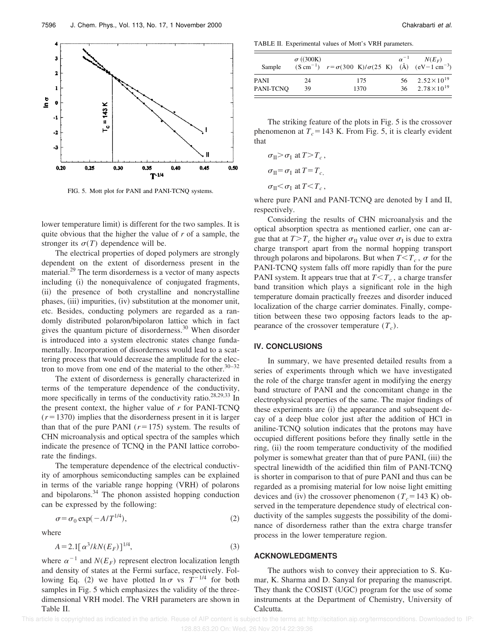

FIG. 5. Mott plot for PANI and PANI-TCNQ systems.

lower temperature limit) is different for the two samples. It is quite obvious that the higher the value of *r* of a sample, the stronger its  $\sigma(T)$  dependence will be.

The electrical properties of doped polymers are strongly dependent on the extent of disorderness present in the material.<sup>29</sup> The term disorderness is a vector of many aspects including (i) the nonequivalence of conjugated fragments, (ii) the presence of both crystalline and noncrystalline phases, (iii) impurities, (iv) substitution at the monomer unit, etc. Besides, conducting polymers are regarded as a randomly distributed polaron/bipolaron lattice which in fact gives the quantum picture of disorderness.<sup>30</sup> When disorder is introduced into a system electronic states change fundamentally. Incorporation of disorderness would lead to a scattering process that would decrease the amplitude for the electron to move from one end of the material to the other. $30-32$ 

The extent of disorderness is generally characterized in terms of the temperature dependence of the conductivity, more specifically in terms of the conductivity ratio.<sup>28,29,33</sup> In the present context, the higher value of *r* for PANI-TCNQ  $(r=1370)$  implies that the disorderness present in it is larger than that of the pure PANI  $(r=175)$  system. The results of CHN microanalysis and optical spectra of the samples which indicate the presence of TCNQ in the PANI lattice corroborate the findings.

The temperature dependence of the electrical conductivity of amorphous semiconducting samples can be explained in terms of the variable range hopping (VRH) of polarons and bipolarons.<sup>34</sup> The phonon assisted hopping conduction can be expressed by the following:

$$
\sigma = \sigma_0 \exp(-A/T^{1/4}),\tag{2}
$$

where

$$
A = 2.1[\,\alpha^3/kN(E_F)]^{1/4},\tag{3}
$$

where  $\alpha^{-1}$  and  $N(E_F)$  represent electron localization length and density of states at the Fermi surface, respectively. Following Eq. (2) we have plotted  $\ln \sigma$  vs  $T^{-1/4}$  for both samples in Fig. 5 which emphasizes the validity of the threedimensional VRH model. The VRH parameters are shown in Table II.

TABLE II. Experimental values of Mott's VRH parameters.

| Sample      | $\sigma$ ((300K) | $(S \text{ cm}^{-1})$ $r = \sigma(300 \text{ K})/\sigma(25 \text{ K})$ (Å) $(eV-1 \text{ cm}^{-3})$ | $\alpha^{-1}$ | $N(E_F)$                 |
|-------------|------------------|-----------------------------------------------------------------------------------------------------|---------------|--------------------------|
| <b>PANI</b> | 24               | 175                                                                                                 |               | 56 $2.52 \times 10^{19}$ |
| PANI-TCNO   | 39               | 1370                                                                                                |               | 36 $2.78 \times 10^{19}$ |

The striking feature of the plots in Fig. 5 is the crossover phenomenon at  $T_c$ =143 K. From Fig. 5, it is clearly evident that

$$
\sigma_{II} > \sigma_I \text{ at } T > T_c,
$$
  
\n
$$
\sigma_{II} = \sigma_I \text{ at } T = T_c,
$$
  
\n
$$
\sigma_{II} < \sigma_I \text{ at } T < T_c,
$$

where pure PANI and PANI-TCNQ are denoted by I and II, respectively.

Considering the results of CHN microanalysis and the optical absorption spectra as mentioned earlier, one can argue that at  $T>T_c$  the higher  $\sigma_{\text{II}}$  value over  $\sigma_{\text{I}}$  is due to extra charge transport apart from the normal hopping transport through polarons and bipolarons. But when  $T < T_c$ ,  $\sigma$  for the PANI-TCNQ system falls off more rapidly than for the pure PANI system. It appears true that at  $T < T_c$ , a charge transfer band transition which plays a significant role in the high temperature domain practically freezes and disorder induced localization of the charge carrier dominates. Finally, competition between these two opposing factors leads to the appearance of the crossover temperature  $(T_c)$ .

# **IV. CONCLUSIONS**

In summary, we have presented detailed results from a series of experiments through which we have investigated the role of the charge transfer agent in modifying the energy band structure of PANI and the concomitant change in the electrophysical properties of the same. The major findings of these experiments are (i) the appearance and subsequent decay of a deep blue color just after the addition of HCl in aniline-TCNQ solution indicates that the protons may have occupied different positions before they finally settle in the ring, (ii) the room temperature conductivity of the modified polymer is somewhat greater than that of pure PANI, (iii) the spectral linewidth of the acidified thin film of PANI-TCNQ is shorter in comparison to that of pure PANI and thus can be regarded as a promising material for low noise light emitting devices and (iv) the crossover phenomenon ( $T_c$ =143 K) observed in the temperature dependence study of electrical conductivity of the samples suggests the possibility of the dominance of disorderness rather than the extra charge transfer process in the lower temperature region.

## **ACKNOWLEDGMENTS**

The authors wish to convey their appreciation to S. Kumar, K. Sharma and D. Sanyal for preparing the manuscript. They thank the COSIST (UGC) program for the use of some instruments at the Department of Chemistry, University of Calcutta.

This article is copyrighted as indicated in the article. Reuse of AIP content is subject to the terms at: http://scitation.aip.org/termsconditions. Downloaded to IP: